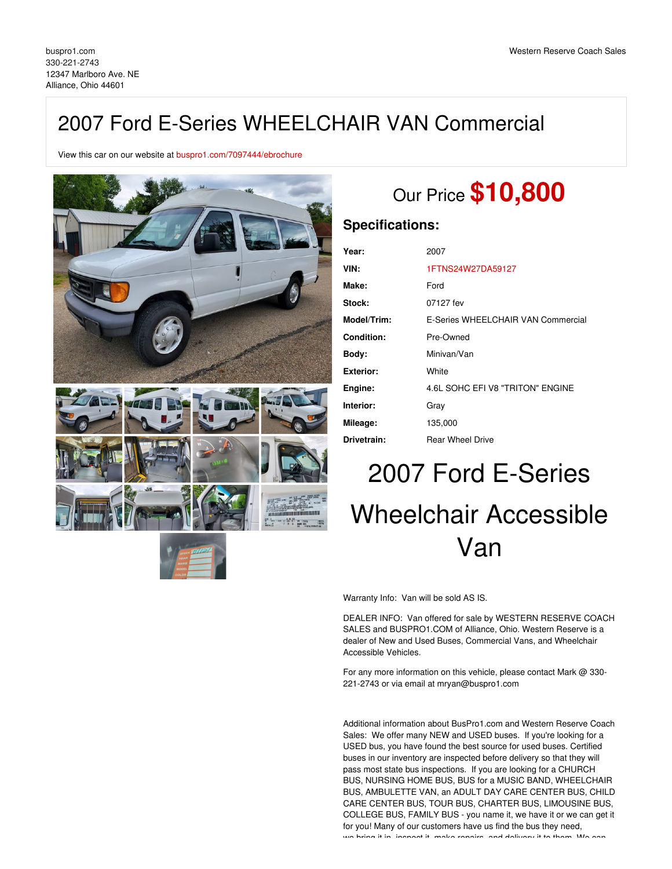## 2007 Ford E-Series WHEELCHAIR VAN Commercial

View this car on our website at [buspro1.com/7097444/ebrochure](https://buspro1.com/vehicle/7097444/2007-ford-e-series-wheelchair-van-commercial-alliance-ohio-44601/7097444/ebrochure)



# Our Price **\$10,800**

#### **Specifications:**

| Year:       | 2007                               |
|-------------|------------------------------------|
| VIN:        | 1FTNS24W27DA59127                  |
| Make:       | Ford                               |
| Stock:      | 07127 fev                          |
| Model/Trim: | E-Series WHEELCHAIR VAN Commercial |
| Condition:  | Pre-Owned                          |
| Body:       | Minivan/Van                        |
| Exterior:   | White                              |
| Engine:     | 4.6L SOHC EFI V8 "TRITON" ENGINE   |
| Interior:   | Gray                               |
| Mileage:    | 135,000                            |
| Drivetrain: | <b>Rear Wheel Drive</b>            |

# 2007 Ford E-Series Wheelchair Accessible Van

Warranty Info: Van will be sold AS IS.

DEALER INFO: Van offered for sale by WESTERN RESERVE COACH SALES and BUSPRO1.COM of Alliance, Ohio. Western Reserve is a dealer of New and Used Buses, Commercial Vans, and Wheelchair Accessible Vehicles.

For any more information on this vehicle, please contact Mark @ 330- 221-2743 or via email at mryan@buspro1.com

Additional information about BusPro1.com and Western Reserve Coach Sales: We offer many NEW and USED buses. If you're looking for a USED bus, you have found the best source for used buses. Certified buses in our inventory are inspected before delivery so that they will pass most state bus inspections. If you are looking for a CHURCH BUS, NURSING HOME BUS, BUS for a MUSIC BAND, WHEELCHAIR BUS, AMBULETTE VAN, an ADULT DAY CARE CENTER BUS, CHILD CARE CENTER BUS, TOUR BUS, CHARTER BUS, LIMOUSINE BUS, COLLEGE BUS, FAMILY BUS - you name it, we have it or we can get it for you! Many of our customers have us find the bus they need, we bring it in, increast it, make repairs, and delivery it to them. We can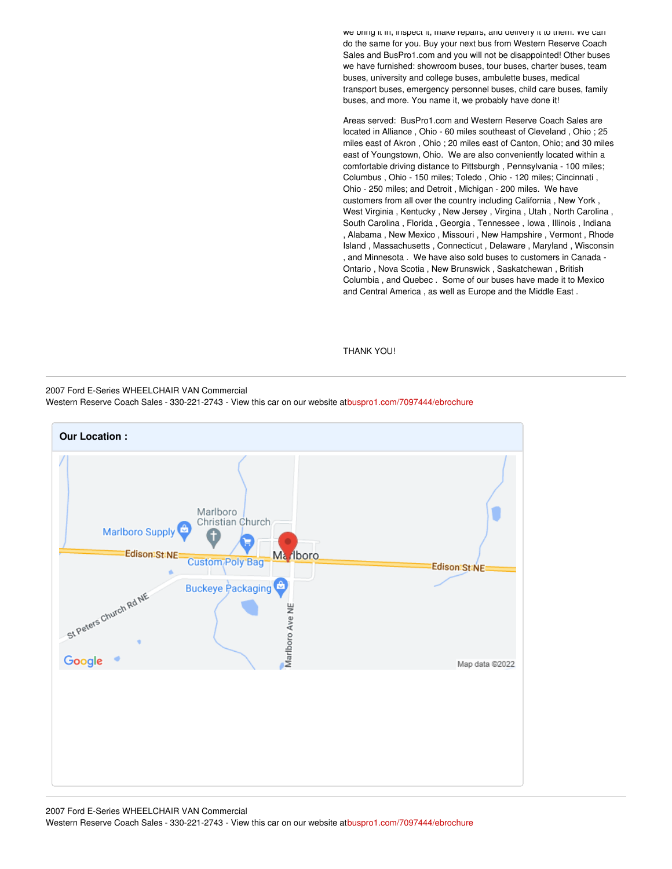we bring it in, inspect it, make repairs, and delivery it to them. We can do the same for you. Buy your next bus from Western Reserve Coach Sales and BusPro1.com and you will not be disappointed! Other buses we have furnished: showroom buses, tour buses, charter buses, team buses, university and college buses, ambulette buses, medical transport buses, emergency personnel buses, child care buses, family buses, and more. You name it, we probably have done it!

Areas served: BusPro1.com and Western Reserve Coach Sales are located in Alliance , Ohio - 60 miles southeast of Cleveland , Ohio ; 25 miles east of Akron , Ohio ; 20 miles east of Canton, Ohio; and 30 miles east of Youngstown, Ohio. We are also conveniently located within a comfortable driving distance to Pittsburgh , Pennsylvania - 100 miles; Columbus , Ohio - 150 miles; Toledo , Ohio - 120 miles; Cincinnati , Ohio - 250 miles; and Detroit , Michigan - 200 miles. We have customers from all over the country including California , New York , West Virginia , Kentucky , New Jersey , Virgina , Utah , North Carolina , South Carolina , Florida , Georgia , Tennessee , Iowa , Illinois , Indiana , Alabama , New Mexico , Missouri , New Hampshire , Vermont , Rhode Island , Massachusetts , Connecticut , Delaware , Maryland , Wisconsin , and Minnesota . We have also sold buses to customers in Canada - Ontario , Nova Scotia , New Brunswick , Saskatchewan , British Columbia , and Quebec . Some of our buses have made it to Mexico and Central America , as well as Europe and the Middle East .

#### THANK YOU!

2007 Ford E-Series WHEELCHAIR VAN Commercial

Western Reserve Coach Sales - 330-221-2743 - View this car on our website a[tbuspro1.com/7097444/ebrochure](https://buspro1.com/vehicle/7097444/2007-ford-e-series-wheelchair-van-commercial-alliance-ohio-44601/7097444/ebrochure)